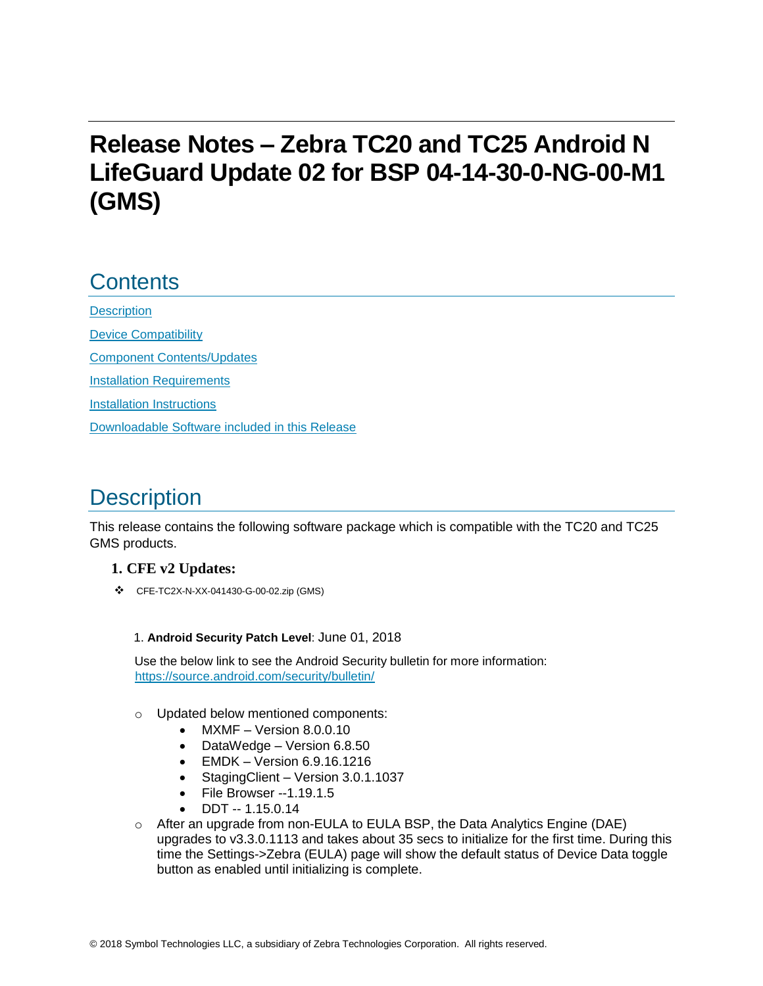# **Release Notes – Zebra TC20 and TC25 Android N LifeGuard Update 02 for BSP 04-14-30-0-NG-00-M1 (GMS)**

## **Contents**

**[Description](#page-0-0)** [Device Compatibility](#page-1-0) [Component Contents/Updates](#page-3-0) [Installation Requirements](#page-3-1) [Installation Instructions](#page-4-0) [Downloadable Software included in this Release](#page-5-0) 

# <span id="page-0-0"></span>**Description**

This release contains the following software package which is compatible with the TC20 and TC25 GMS products.

#### **1. CFE v2 Updates:**

❖ CFE-TC2X-N-XX-041430-G-00-02.zip (GMS)

#### 1. **Android Security Patch Level**: June 01, 2018

Use the below link to see the Android Security bulletin for more information: <https://source.android.com/security/bulletin/>

- o Updated below mentioned components:
	- MXMF Version 8.0.0.10
	- DataWedge Version 6.8.50
	- EMDK Version 6.9.16.1216
	- Staging Client Version 3.0.1.1037
	- File Browser --1.19.1.5
	- DDT -- 1.15.0.14
- $\circ$  After an upgrade from non-EULA to EULA BSP, the Data Analytics Engine (DAE) upgrades to v3.3.0.1113 and takes about 35 secs to initialize for the first time. During this time the Settings->Zebra (EULA) page will show the default status of Device Data toggle button as enabled until initializing is complete.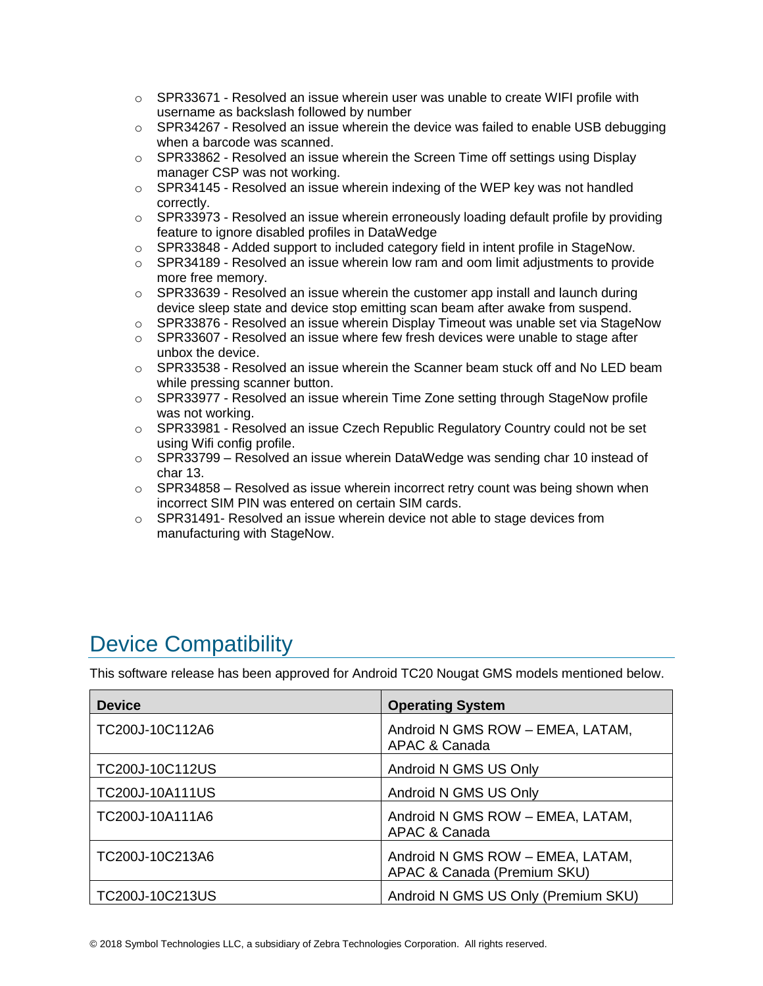- $\circ$  SPR33671 Resolved an issue wherein user was unable to create WIFI profile with username as backslash followed by number
- $\circ$  SPR34267 Resolved an issue wherein the device was failed to enable USB debugging when a barcode was scanned.
- $\circ$  SPR33862 Resolved an issue wherein the Screen Time off settings using Display manager CSP was not working.
- $\circ$  SPR34145 Resolved an issue wherein indexing of the WEP key was not handled correctly.
- $\circ$  SPR33973 Resolved an issue wherein erroneously loading default profile by providing feature to ignore disabled profiles in DataWedge
- o SPR33848 Added support to included category field in intent profile in StageNow.
- $\circ$  SPR34189 Resolved an issue wherein low ram and oom limit adjustments to provide more free memory.
- $\circ$  SPR33639 Resolved an issue wherein the customer app install and launch during device sleep state and device stop emitting scan beam after awake from suspend.
- $\circ$  SPR33876 Resolved an issue wherein Display Timeout was unable set via StageNow
- $\circ$  SPR33607 Resolved an issue where few fresh devices were unable to stage after unbox the device.
- $\circ$  SPR33538 Resolved an issue wherein the Scanner beam stuck off and No LED beam while pressing scanner button.
- $\circ$  SPR33977 Resolved an issue wherein Time Zone setting through StageNow profile was not working.
- $\circ$  SPR33981 Resolved an issue Czech Republic Regulatory Country could not be set using Wifi config profile.
- $\circ$  SPR33799 Resolved an issue wherein DataWedge was sending char 10 instead of char 13.
- $\circ$  SPR34858 Resolved as issue wherein incorrect retry count was being shown when incorrect SIM PIN was entered on certain SIM cards.
- $\circ$  SPR31491- Resolved an issue wherein device not able to stage devices from manufacturing with StageNow.

## <span id="page-1-0"></span>Device Compatibility

This software release has been approved for Android TC20 Nougat GMS models mentioned below.

| <b>Device</b>   | <b>Operating System</b>                                         |
|-----------------|-----------------------------------------------------------------|
| TC200J-10C112A6 | Android N GMS ROW - EMEA, LATAM,<br>APAC & Canada               |
| TC200J-10C112US | Android N GMS US Only                                           |
| TC200J-10A111US | Android N GMS US Only                                           |
| TC200J-10A111A6 | Android N GMS ROW - EMEA, LATAM,<br>APAC & Canada               |
| TC200J-10C213A6 | Android N GMS ROW - EMEA, LATAM,<br>APAC & Canada (Premium SKU) |
| TC200J-10C213US | Android N GMS US Only (Premium SKU)                             |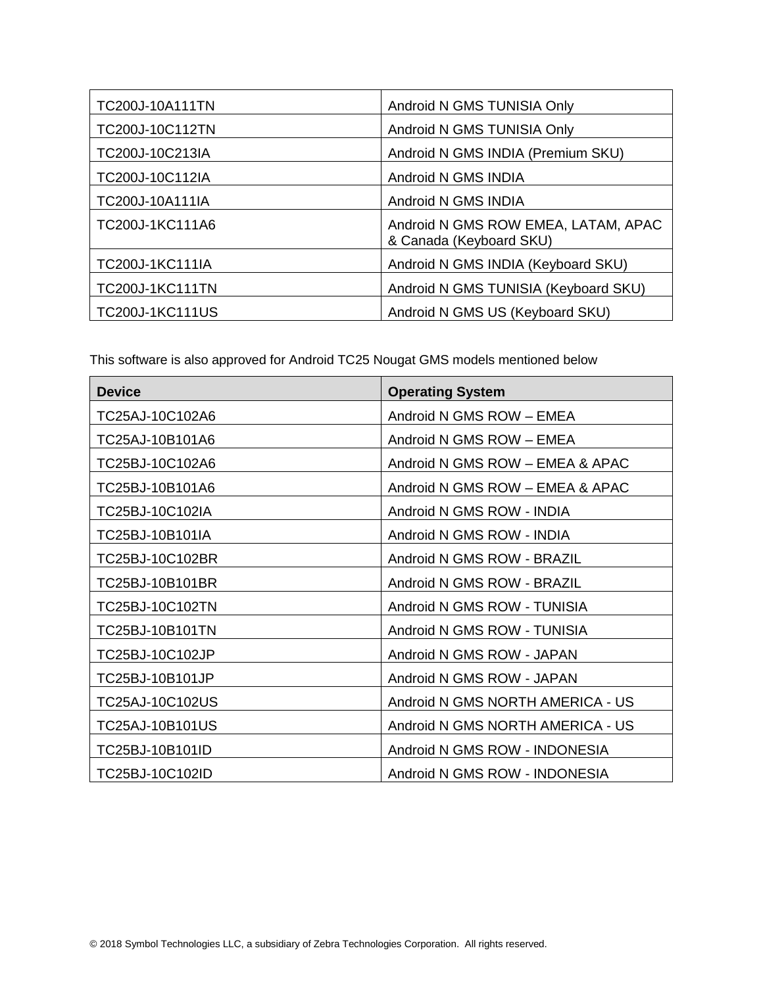| <b>TC200J-10A111TN</b> | Android N GMS TUNISIA Only                                     |
|------------------------|----------------------------------------------------------------|
| TC200J-10C112TN        | Android N GMS TUNISIA Only                                     |
| TC200J-10C213IA        | Android N GMS INDIA (Premium SKU)                              |
| TC200J-10C112IA        | Android N GMS INDIA                                            |
| TC200J-10A111IA        | Android N GMS INDIA                                            |
| TC200J-1KC111A6        | Android N GMS ROW EMEA, LATAM, APAC<br>& Canada (Keyboard SKU) |
| TC200J-1KC111IA        | Android N GMS INDIA (Keyboard SKU)                             |
| <b>TC200J-1KC111TN</b> | Android N GMS TUNISIA (Keyboard SKU)                           |
| <b>TC200J-1KC111US</b> | Android N GMS US (Keyboard SKU)                                |

This software is also approved for Android TC25 Nougat GMS models mentioned below

| <b>Device</b>   | <b>Operating System</b>          |
|-----------------|----------------------------------|
| TC25AJ-10C102A6 | Android N GMS ROW - EMEA         |
| TC25AJ-10B101A6 | Android N GMS ROW - EMEA         |
| TC25BJ-10C102A6 | Android N GMS ROW - EMEA & APAC  |
| TC25BJ-10B101A6 | Android N GMS ROW - EMEA & APAC  |
| TC25BJ-10C102IA | Android N GMS ROW - INDIA        |
| TC25BJ-10B101IA | Android N GMS ROW - INDIA        |
| TC25BJ-10C102BR | Android N GMS ROW - BRAZIL       |
| TC25BJ-10B101BR | Android N GMS ROW - BRAZIL       |
| TC25BJ-10C102TN | Android N GMS ROW - TUNISIA      |
| TC25BJ-10B101TN | Android N GMS ROW - TUNISIA      |
| TC25BJ-10C102JP | Android N GMS ROW - JAPAN        |
| TC25BJ-10B101JP | Android N GMS ROW - JAPAN        |
| TC25AJ-10C102US | Android N GMS NORTH AMERICA - US |
| TC25AJ-10B101US | Android N GMS NORTH AMERICA - US |
| TC25BJ-10B101ID | Android N GMS ROW - INDONESIA    |
| TC25BJ-10C102ID | Android N GMS ROW - INDONESIA    |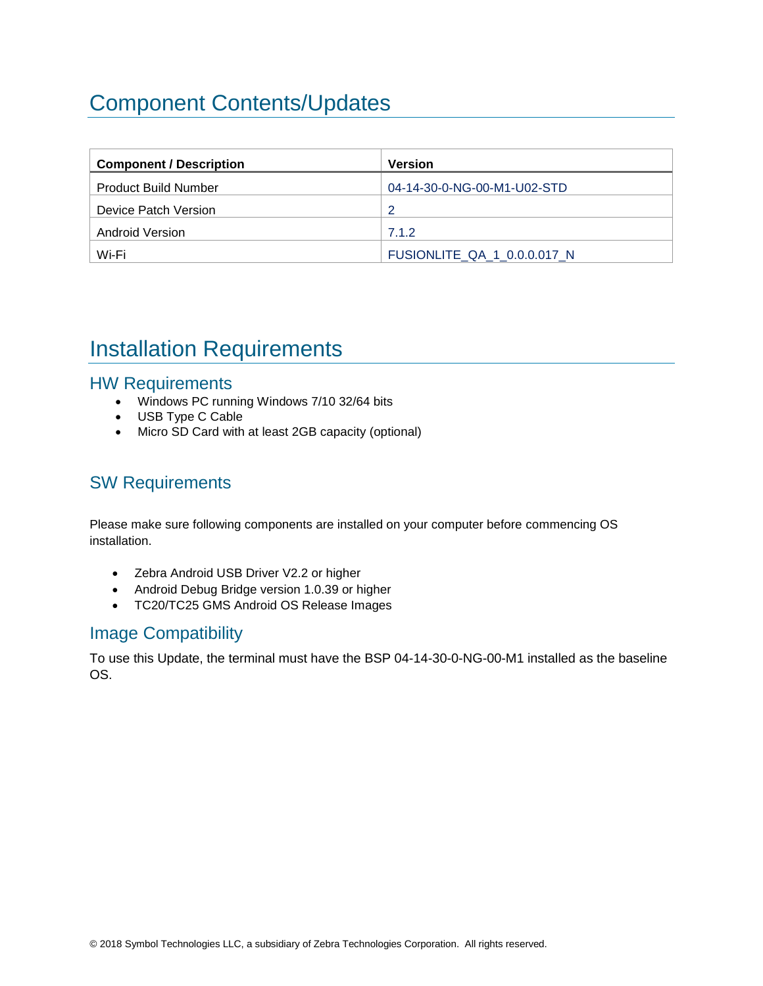# <span id="page-3-0"></span>Component Contents/Updates

| <b>Component / Description</b> | Version                     |
|--------------------------------|-----------------------------|
| <b>Product Build Number</b>    | 04-14-30-0-NG-00-M1-U02-STD |
| Device Patch Version           | ာ                           |
| <b>Android Version</b>         | 7.1.2                       |
| Wi-Fi                          | FUSIONLITE QA 1 0.0.0.017 N |

# <span id="page-3-1"></span>Installation Requirements

### HW Requirements

- Windows PC running Windows 7/10 32/64 bits
- USB Type C Cable
- Micro SD Card with at least 2GB capacity (optional)

## SW Requirements

Please make sure following components are installed on your computer before commencing OS installation.

- Zebra Android USB Driver V2.2 or higher
- Android Debug Bridge version 1.0.39 or higher
- TC20/TC25 GMS Android OS Release Images

### Image Compatibility

To use this Update, the terminal must have the BSP 04-14-30-0-NG-00-M1 installed as the baseline OS.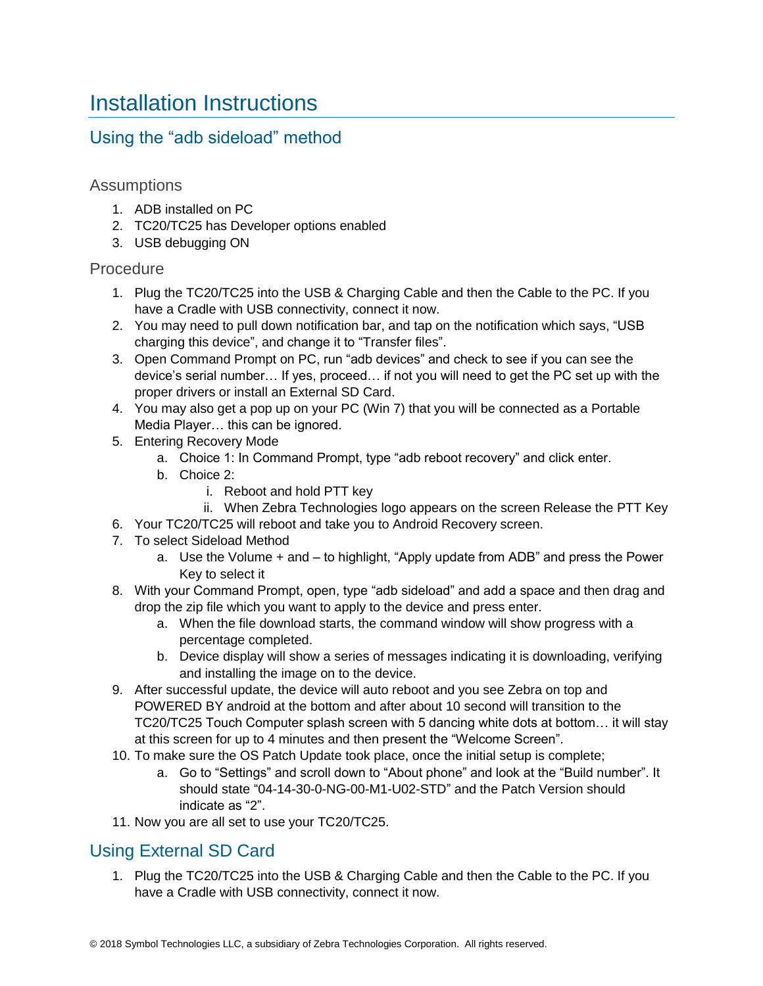## <span id="page-4-0"></span>Installation Instructions

### Using the "adb sideload" method

### Assumptions

- 1. ADB installed on PC
- 2. TC20/TC25 has Developer options enabled
- 3. USB debugging ON

#### Procedure

- 1. Plug the TC20/TC25 into the USB & Charging Cable and then the Cable to the PC. If you have a Cradle with USB connectivity, connect it now.
- 2. You may need to pull down notification bar, and tap on the notification which says, "USB charging this device", and change it to "Transfer files".
- 3. Open Command Prompt on PC, run "adb devices" and check to see if you can see the device's serial number… If yes, proceed… if not you will need to get the PC set up with the proper drivers or install an External SD Card.
- 4. You may also get a pop up on your PC (Win 7) that you will be connected as a Portable Media Player… this can be ignored.
- 5. Entering Recovery Mode
	- a. Choice 1: In Command Prompt, type "adb reboot recovery" and click enter.
	- b. Choice 2:
		- i. Reboot and hold PTT key
		- ii. When Zebra Technologies logo appears on the screen Release the PTT Key
- 6. Your TC20/TC25 will reboot and take you to Android Recovery screen.
- 7. To select Sideload Method
	- a. Use the Volume + and to highlight, "Apply update from ADB" and press the Power Key to select it
- 8. With your Command Prompt, open, type "adb sideload" and add a space and then drag and drop the zip file which you want to apply to the device and press enter.
	- a. When the file download starts, the command window will show progress with a percentage completed.
	- b. Device display will show a series of messages indicating it is downloading, verifying and installing the image on to the device.
- 9. After successful update, the device will auto reboot and you see Zebra on top and POWERED BY android at the bottom and after about 10 second will transition to the TC20/TC25 Touch Computer splash screen with 5 dancing white dots at bottom… it will stay at this screen for up to 4 minutes and then present the "Welcome Screen".
- 10. To make sure the OS Patch Update took place, once the initial setup is complete;
	- a. Go to "Settings" and scroll down to "About phone" and look at the "Build number". It should state "04-14-30-0-NG-00-M1-U02-STD" and the Patch Version should indicate as "2".
- 11. Now you are all set to use your TC20/TC25.

## Using External SD Card

1. Plug the TC20/TC25 into the USB & Charging Cable and then the Cable to the PC. If you have a Cradle with USB connectivity, connect it now.